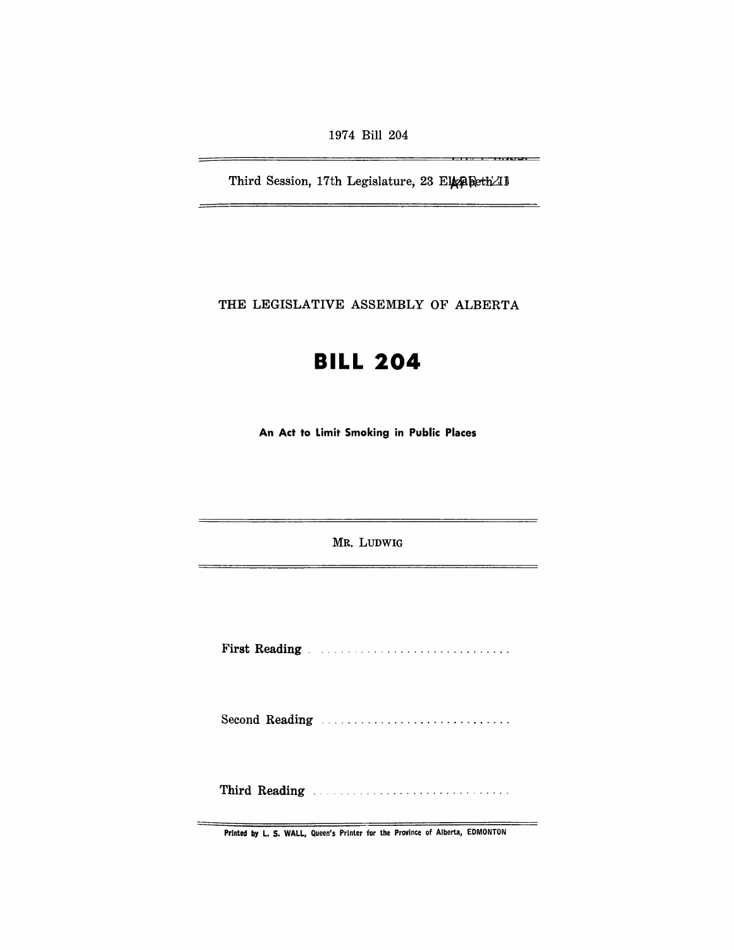1974 Bill 204

Third Session, 17th Legislature, 23 ElgaRethAI

<u> 1.117 - 1.117 - 1.128 - 1.</u>

THE LEGISLATIVE ASSEMBLY OF ALBERTA

# **BILL 204**

An Act to Limit Smoking in Public Places

MR. LUDWIG

First Reading. . ........................... .

Second Reading .................................

Third Reading ..

Printed by L. S. WALL, Queen's Printer for the Province of Alberta, EDMONTON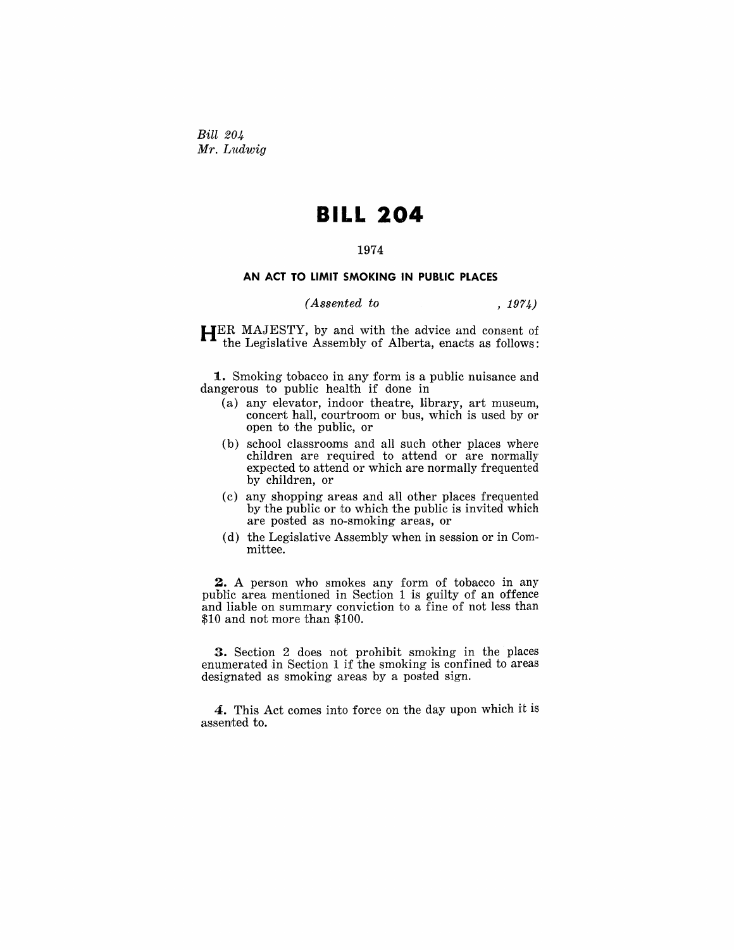*Bill 204 Mr. Ludwig* 

# **BILL 204**

## 1974

### **AN ACT TO LIMIT SMOKING IN PUBLIC PLACES**

### *(Assented to* , 1974)

HER MAJESTY, by and with the advice and consent of the Legislative Assembly of Alberta, enacts as follows:

1. Smoking tobacco in any form is a public nuisance and dangerous to public health if done in

- (a) any elevator, indoor theatre, library, art museum, concert hall, courtroom or bus, which is used by or open to the public, or
- (b) school classrooms and all such other places where children are required to attend or are normally expected to attend or which are normally frequented by children, or
- (c) any shopping areas and all other places frequented by the public or to which the public is invited which are posted as no-smoking areas, or
- (d) the Legislative Assembly when in session or in Committee.

2. A person who smokes any form of tobacco in any public area mentioned in Section 1 is guilty of an offence and liable on summary conviction to a fine of not less than \$10 and not more than \$100.

3. Section 2 does not prohibit smoking in the places enumerated in Section 1 if the smoking is confined to areas designated as smoking areas by a posted sign.

4. This Act comes into force on the day upon which it is assented to.